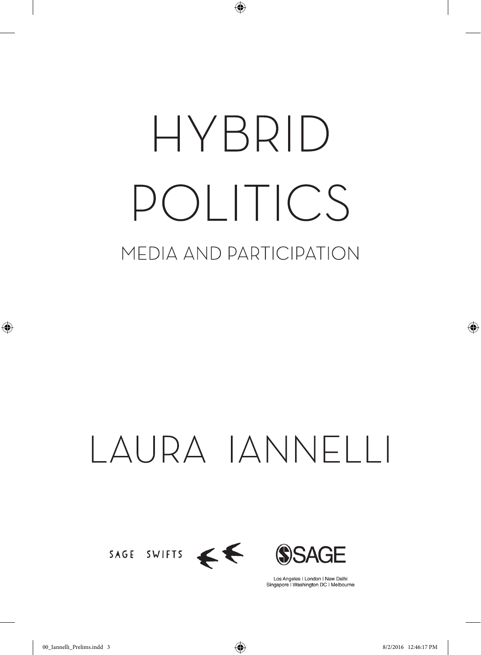# HYBRID POLITICS MEDIA AND PARTICIPATION

 $\bigoplus$ 

## LAURA IANNELLI



Los Angeles | London | New Delhi Singapore | Washington DC | Melbourne

⊕

◈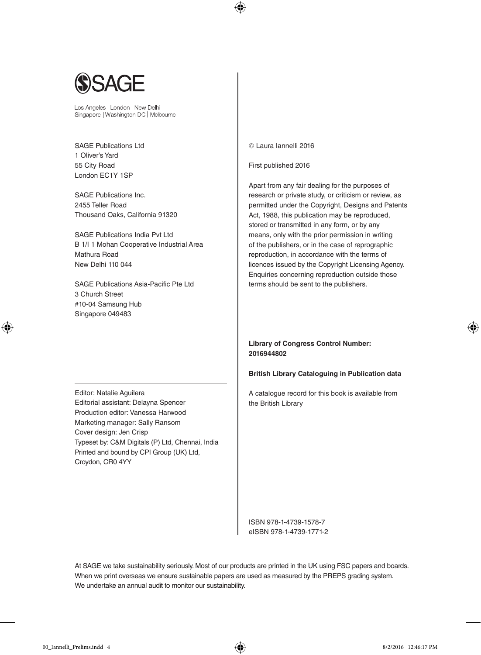

Los Angeles | London | New Delhi Singapore | Washington DC | Melbourne

SAGE Publications Ltd 1 Oliver's Yard 55 City Road London EC1Y 1SP

SAGE Publications Inc. 2455 Teller Road Thousand Oaks, California 91320

SAGE Publications India Pvt Ltd B 1/I 1 Mohan Cooperative Industrial Area Mathura Road New Delhi 110 044

SAGE Publications Asia-Pacific Pte Ltd 3 Church Street #10-04 Samsung Hub Singapore 049483

Editor: Natalie Aguilera Editorial assistant: Delayna Spencer Production editor: Vanessa Harwood Marketing manager: Sally Ransom Cover design: Jen Crisp Typeset by: C&M Digitals (P) Ltd, Chennai, India Printed and bound by CPI Group (UK) Ltd, Croydon, CR0 4YY

Laura Iannelli 2016

⊕

First published 2016

Apart from any fair dealing for the purposes of research or private study, or criticism or review, as permitted under the Copyright, Designs and Patents Act, 1988, this publication may be reproduced, stored or transmitted in any form, or by any means, only with the prior permission in writing of the publishers, or in the case of reprographic reproduction, in accordance with the terms of licences issued by the Copyright Licensing Agency. Enquiries concerning reproduction outside those terms should be sent to the publishers.

#### **Library of Congress Control Number: 2016944802**

#### **British Library Cataloguing in Publication data**

A catalogue record for this book is available from the British Library

ISBN 978-1-4739-1578-7 eISBN 978-1-4739-1771-2

At SAGE we take sustainability seriously. Most of our products are printed in the UK using FSC papers and boards. When we print overseas we ensure sustainable papers are used as measured by the PREPS grading system. We undertake an annual audit to monitor our sustainability.

⊕

♠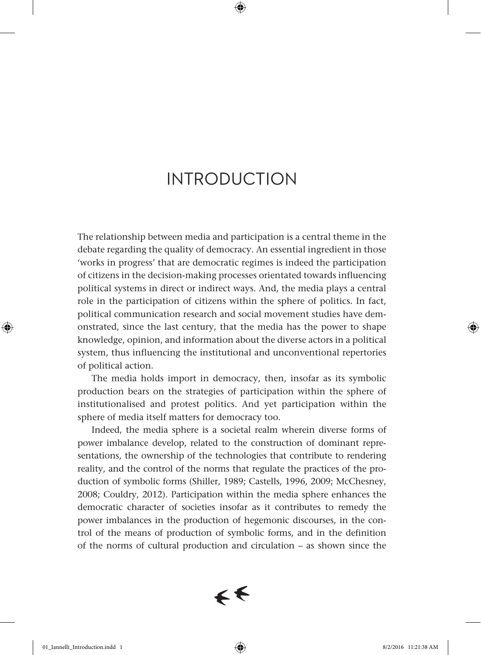⊕

The relationship between media and participation is a central theme in the debate regarding the quality of democracy. An essential ingredient in those 'works in progress' that are democratic regimes is indeed the participation of citizens in the decision-making processes orientated towards influencing political systems in direct or indirect ways. And, the media plays a central role in the participation of citizens within the sphere of politics. In fact, political communication research and social movement studies have demonstrated, since the last century, that the media has the power to shape knowledge, opinion, and information about the diverse actors in a political system, thus influencing the institutional and unconventional repertories of political action.

The media holds import in democracy, then, insofar as its symbolic production bears on the strategies of participation within the sphere of institutionalised and protest politics. And yet participation within the sphere of media itself matters for democracy too.

Indeed, the media sphere is a societal realm wherein diverse forms of power imbalance develop, related to the construction of dominant representations, the ownership of the technologies that contribute to rendering reality, and the control of the norms that regulate the practices of the production of symbolic forms (Shiller, 1989; Castells, 1996, 2009; McChesney, 2008; Couldry, 2012). Participation within the media sphere enhances the democratic character of societies insofar as it contributes to remedy the power imbalances in the production of hegemonic discourses, in the control of the means of production of symbolic forms, and in the definition of the norms of cultural production and circulation – as shown since the



⊕

♠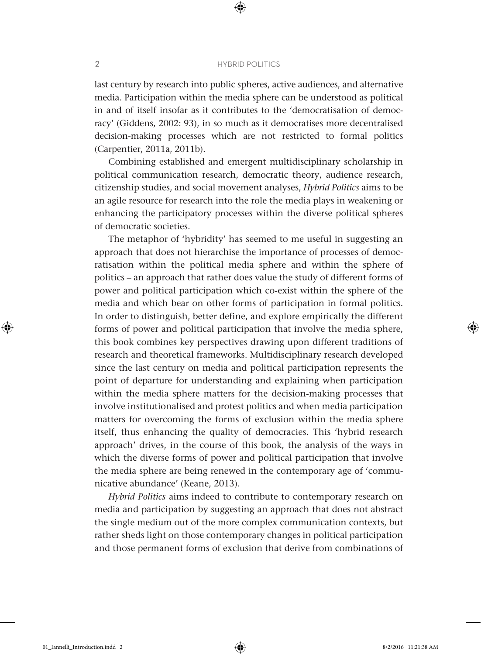⊕

last century by research into public spheres, active audiences, and alternative media. Participation within the media sphere can be understood as political in and of itself insofar as it contributes to the 'democratisation of democracy' (Giddens, 2002: 93), in so much as it democratises more decentralised decision-making processes which are not restricted to formal politics (Carpentier, 2011a, 2011b).

Combining established and emergent multidisciplinary scholarship in political communication research, democratic theory, audience research, citizenship studies, and social movement analyses, *Hybrid Politics* aims to be an agile resource for research into the role the media plays in weakening or enhancing the participatory processes within the diverse political spheres of democratic societies.

The metaphor of 'hybridity' has seemed to me useful in suggesting an approach that does not hierarchise the importance of processes of democratisation within the political media sphere and within the sphere of politics – an approach that rather does value the study of different forms of power and political participation which co-exist within the sphere of the media and which bear on other forms of participation in formal politics. In order to distinguish, better define, and explore empirically the different forms of power and political participation that involve the media sphere, this book combines key perspectives drawing upon different traditions of research and theoretical frameworks. Multidisciplinary research developed since the last century on media and political participation represents the point of departure for understanding and explaining when participation within the media sphere matters for the decision-making processes that involve institutionalised and protest politics and when media participation matters for overcoming the forms of exclusion within the media sphere itself, thus enhancing the quality of democracies. This 'hybrid research approach' drives, in the course of this book, the analysis of the ways in which the diverse forms of power and political participation that involve the media sphere are being renewed in the contemporary age of 'communicative abundance' (Keane, 2013).

*Hybrid Politics* aims indeed to contribute to contemporary research on media and participation by suggesting an approach that does not abstract the single medium out of the more complex communication contexts, but rather sheds light on those contemporary changes in political participation and those permanent forms of exclusion that derive from combinations of

⊕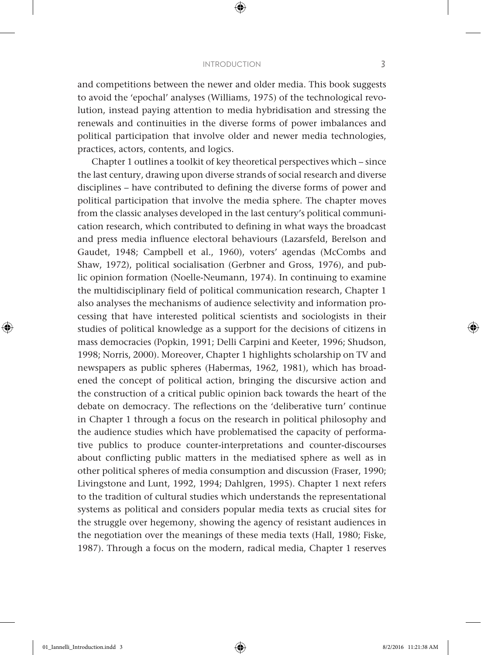⊕

and competitions between the newer and older media. This book suggests to avoid the 'epochal' analyses (Williams, 1975) of the technological revolution, instead paying attention to media hybridisation and stressing the renewals and continuities in the diverse forms of power imbalances and political participation that involve older and newer media technologies, practices, actors, contents, and logics.

Chapter 1 outlines a toolkit of key theoretical perspectives which – since the last century, drawing upon diverse strands of social research and diverse disciplines – have contributed to defining the diverse forms of power and political participation that involve the media sphere. The chapter moves from the classic analyses developed in the last century's political communication research, which contributed to defining in what ways the broadcast and press media influence electoral behaviours (Lazarsfeld, Berelson and Gaudet, 1948; Campbell et al., 1960), voters' agendas (McCombs and Shaw, 1972), political socialisation (Gerbner and Gross, 1976), and public opinion formation (Noelle-Neumann, 1974). In continuing to examine the multidisciplinary field of political communication research, Chapter 1 also analyses the mechanisms of audience selectivity and information processing that have interested political scientists and sociologists in their studies of political knowledge as a support for the decisions of citizens in mass democracies (Popkin, 1991; Delli Carpini and Keeter, 1996; Shudson, 1998; Norris, 2000). Moreover, Chapter 1 highlights scholarship on TV and newspapers as public spheres (Habermas, 1962, 1981), which has broadened the concept of political action, bringing the discursive action and the construction of a critical public opinion back towards the heart of the debate on democracy. The reflections on the 'deliberative turn' continue in Chapter 1 through a focus on the research in political philosophy and the audience studies which have problematised the capacity of performative publics to produce counter-interpretations and counter-discourses about conflicting public matters in the mediatised sphere as well as in other political spheres of media consumption and discussion (Fraser, 1990; Livingstone and Lunt, 1992, 1994; Dahlgren, 1995). Chapter 1 next refers to the tradition of cultural studies which understands the representational systems as political and considers popular media texts as crucial sites for the struggle over hegemony, showing the agency of resistant audiences in the negotiation over the meanings of these media texts (Hall, 1980; Fiske, 1987). Through a focus on the modern, radical media, Chapter 1 reserves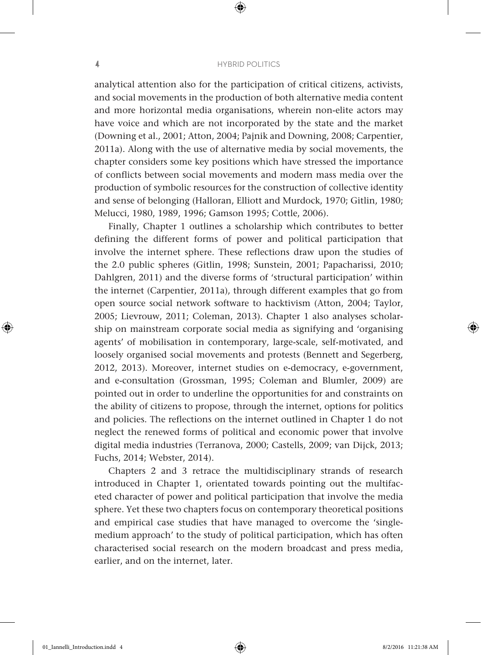⊕

analytical attention also for the participation of critical citizens, activists, and social movements in the production of both alternative media content and more horizontal media organisations, wherein non-elite actors may have voice and which are not incorporated by the state and the market (Downing et al., 2001; Atton, 2004; Pajnik and Downing, 2008; Carpentier, 2011a). Along with the use of alternative media by social movements, the chapter considers some key positions which have stressed the importance of conflicts between social movements and modern mass media over the production of symbolic resources for the construction of collective identity and sense of belonging (Halloran, Elliott and Murdock, 1970; Gitlin, 1980; Melucci, 1980, 1989, 1996; Gamson 1995; Cottle, 2006).

Finally, Chapter 1 outlines a scholarship which contributes to better defining the different forms of power and political participation that involve the internet sphere. These reflections draw upon the studies of the 2.0 public spheres (Gitlin, 1998; Sunstein, 2001; Papacharissi, 2010; Dahlgren, 2011) and the diverse forms of 'structural participation' within the internet (Carpentier, 2011a), through different examples that go from open source social network software to hacktivism (Atton, 2004; Taylor, 2005; Lievrouw, 2011; Coleman, 2013). Chapter 1 also analyses scholarship on mainstream corporate social media as signifying and 'organising agents' of mobilisation in contemporary, large-scale, self-motivated, and loosely organised social movements and protests (Bennett and Segerberg, 2012, 2013). Moreover, internet studies on e-democracy, e-government, and e-consultation (Grossman, 1995; Coleman and Blumler, 2009) are pointed out in order to underline the opportunities for and constraints on the ability of citizens to propose, through the internet, options for politics and policies. The reflections on the internet outlined in Chapter 1 do not neglect the renewed forms of political and economic power that involve digital media industries (Terranova, 2000; Castells, 2009; van Dijck, 2013; Fuchs, 2014; Webster, 2014).

Chapters 2 and 3 retrace the multidisciplinary strands of research introduced in Chapter 1, orientated towards pointing out the multifaceted character of power and political participation that involve the media sphere. Yet these two chapters focus on contemporary theoretical positions and empirical case studies that have managed to overcome the 'singlemedium approach' to the study of political participation, which has often characterised social research on the modern broadcast and press media, earlier, and on the internet, later.

⊕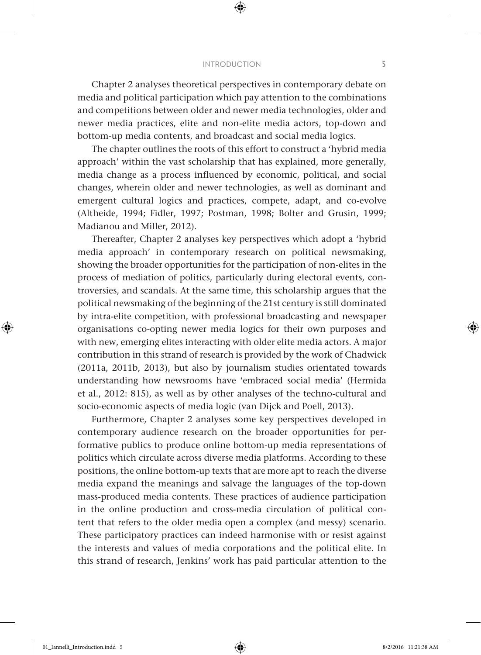⊕

Chapter 2 analyses theoretical perspectives in contemporary debate on media and political participation which pay attention to the combinations and competitions between older and newer media technologies, older and newer media practices, elite and non-elite media actors, top-down and bottom-up media contents, and broadcast and social media logics.

The chapter outlines the roots of this effort to construct a 'hybrid media approach' within the vast scholarship that has explained, more generally, media change as a process influenced by economic, political, and social changes, wherein older and newer technologies, as well as dominant and emergent cultural logics and practices, compete, adapt, and co-evolve (Altheide, 1994; Fidler, 1997; Postman, 1998; Bolter and Grusin, 1999; Madianou and Miller, 2012).

Thereafter, Chapter 2 analyses key perspectives which adopt a 'hybrid media approach' in contemporary research on political newsmaking, showing the broader opportunities for the participation of non-elites in the process of mediation of politics, particularly during electoral events, controversies, and scandals. At the same time, this scholarship argues that the political newsmaking of the beginning of the 21st century is still dominated by intra-elite competition, with professional broadcasting and newspaper organisations co-opting newer media logics for their own purposes and with new, emerging elites interacting with older elite media actors. A major contribution in this strand of research is provided by the work of Chadwick (2011a, 2011b, 2013), but also by journalism studies orientated towards understanding how newsrooms have 'embraced social media' (Hermida et al., 2012: 815), as well as by other analyses of the techno-cultural and socio-economic aspects of media logic (van Dijck and Poell, 2013).

Furthermore, Chapter 2 analyses some key perspectives developed in contemporary audience research on the broader opportunities for performative publics to produce online bottom-up media representations of politics which circulate across diverse media platforms. According to these positions, the online bottom-up texts that are more apt to reach the diverse media expand the meanings and salvage the languages of the top-down mass-produced media contents. These practices of audience participation in the online production and cross-media circulation of political content that refers to the older media open a complex (and messy) scenario. These participatory practices can indeed harmonise with or resist against the interests and values of media corporations and the political elite. In this strand of research, Jenkins' work has paid particular attention to the

⊕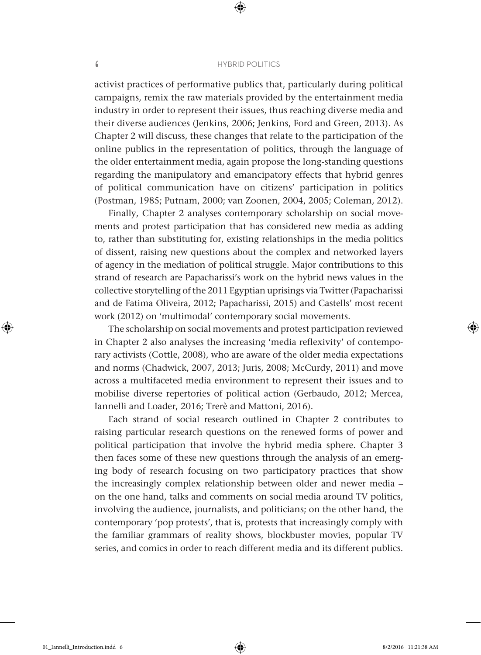⊕

activist practices of performative publics that, particularly during political campaigns, remix the raw materials provided by the entertainment media industry in order to represent their issues, thus reaching diverse media and their diverse audiences (Jenkins, 2006; Jenkins, Ford and Green, 2013). As Chapter 2 will discuss, these changes that relate to the participation of the online publics in the representation of politics, through the language of the older entertainment media, again propose the long-standing questions regarding the manipulatory and emancipatory effects that hybrid genres of political communication have on citizens' participation in politics (Postman, 1985; Putnam, 2000; van Zoonen, 2004, 2005; Coleman, 2012).

Finally, Chapter 2 analyses contemporary scholarship on social movements and protest participation that has considered new media as adding to, rather than substituting for, existing relationships in the media politics of dissent, raising new questions about the complex and networked layers of agency in the mediation of political struggle. Major contributions to this strand of research are Papacharissi's work on the hybrid news values in the collective storytelling of the 2011 Egyptian uprisings via Twitter (Papacharissi and de Fatima Oliveira, 2012; Papacharissi, 2015) and Castells' most recent work (2012) on 'multimodal' contemporary social movements.

The scholarship on social movements and protest participation reviewed in Chapter 2 also analyses the increasing 'media reflexivity' of contemporary activists (Cottle, 2008), who are aware of the older media expectations and norms (Chadwick, 2007, 2013; Juris, 2008; McCurdy, 2011) and move across a multifaceted media environment to represent their issues and to mobilise diverse repertories of political action (Gerbaudo, 2012; Mercea, Iannelli and Loader, 2016; Trerè and Mattoni, 2016).

Each strand of social research outlined in Chapter 2 contributes to raising particular research questions on the renewed forms of power and political participation that involve the hybrid media sphere. Chapter 3 then faces some of these new questions through the analysis of an emerging body of research focusing on two participatory practices that show the increasingly complex relationship between older and newer media – on the one hand, talks and comments on social media around TV politics, involving the audience, journalists, and politicians; on the other hand, the contemporary 'pop protests', that is, protests that increasingly comply with the familiar grammars of reality shows, blockbuster movies, popular TV series, and comics in order to reach different media and its different publics.

⊕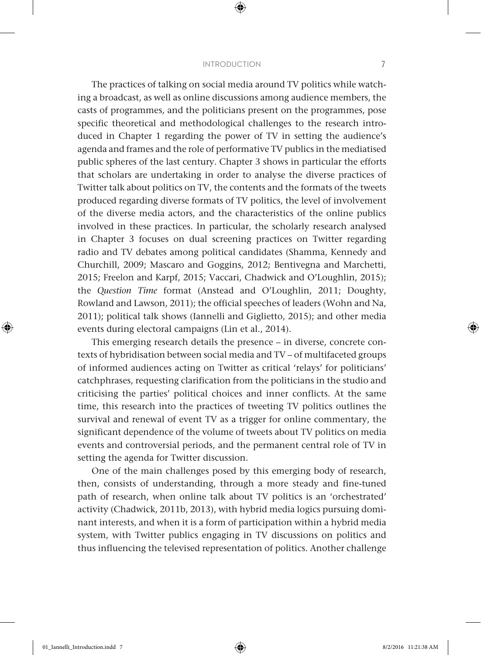⊕

The practices of talking on social media around TV politics while watching a broadcast, as well as online discussions among audience members, the casts of programmes, and the politicians present on the programmes, pose specific theoretical and methodological challenges to the research introduced in Chapter 1 regarding the power of TV in setting the audience's agenda and frames and the role of performative TV publics in the mediatised public spheres of the last century. Chapter 3 shows in particular the efforts that scholars are undertaking in order to analyse the diverse practices of Twitter talk about politics on TV, the contents and the formats of the tweets produced regarding diverse formats of TV politics, the level of involvement of the diverse media actors, and the characteristics of the online publics involved in these practices. In particular, the scholarly research analysed in Chapter 3 focuses on dual screening practices on Twitter regarding radio and TV debates among political candidates (Shamma, Kennedy and Churchill, 2009; Mascaro and Goggins, 2012; Bentivegna and Marchetti, 2015; Freelon and Karpf, 2015; Vaccari, Chadwick and O'Loughlin, 2015); the *Question Time* format (Anstead and O'Loughlin, 2011; Doughty, Rowland and Lawson, 2011); the official speeches of leaders (Wohn and Na, 2011); political talk shows (Iannelli and Giglietto, 2015); and other media events during electoral campaigns (Lin et al., 2014).

This emerging research details the presence – in diverse, concrete contexts of hybridisation between social media and TV – of multifaceted groups of informed audiences acting on Twitter as critical 'relays' for politicians' catchphrases, requesting clarification from the politicians in the studio and criticising the parties' political choices and inner conflicts. At the same time, this research into the practices of tweeting TV politics outlines the survival and renewal of event TV as a trigger for online commentary, the significant dependence of the volume of tweets about TV politics on media events and controversial periods, and the permanent central role of TV in setting the agenda for Twitter discussion.

One of the main challenges posed by this emerging body of research, then, consists of understanding, through a more steady and fine-tuned path of research, when online talk about TV politics is an 'orchestrated' activity (Chadwick, 2011b, 2013), with hybrid media logics pursuing dominant interests, and when it is a form of participation within a hybrid media system, with Twitter publics engaging in TV discussions on politics and thus influencing the televised representation of politics. Another challenge

⊕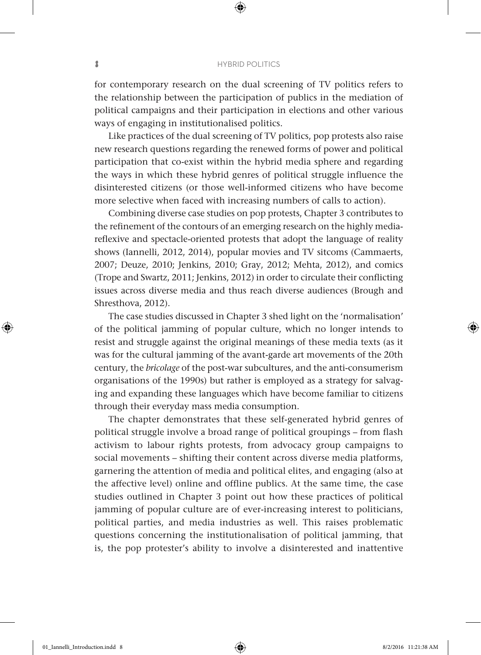⊕

for contemporary research on the dual screening of TV politics refers to the relationship between the participation of publics in the mediation of political campaigns and their participation in elections and other various ways of engaging in institutionalised politics.

Like practices of the dual screening of TV politics, pop protests also raise new research questions regarding the renewed forms of power and political participation that co-exist within the hybrid media sphere and regarding the ways in which these hybrid genres of political struggle influence the disinterested citizens (or those well-informed citizens who have become more selective when faced with increasing numbers of calls to action).

Combining diverse case studies on pop protests, Chapter 3 contributes to the refinement of the contours of an emerging research on the highly mediareflexive and spectacle-oriented protests that adopt the language of reality shows (Iannelli, 2012, 2014), popular movies and TV sitcoms (Cammaerts, 2007; Deuze, 2010; Jenkins, 2010; Gray, 2012; Mehta, 2012), and comics (Trope and Swartz, 2011; Jenkins, 2012) in order to circulate their conflicting issues across diverse media and thus reach diverse audiences (Brough and Shresthova, 2012).

The case studies discussed in Chapter 3 shed light on the 'normalisation' of the political jamming of popular culture, which no longer intends to resist and struggle against the original meanings of these media texts (as it was for the cultural jamming of the avant-garde art movements of the 20th century, the *bricolage* of the post-war subcultures, and the anti-consumerism organisations of the 1990s) but rather is employed as a strategy for salvaging and expanding these languages which have become familiar to citizens through their everyday mass media consumption.

The chapter demonstrates that these self-generated hybrid genres of political struggle involve a broad range of political groupings – from flash activism to labour rights protests, from advocacy group campaigns to social movements – shifting their content across diverse media platforms, garnering the attention of media and political elites, and engaging (also at the affective level) online and offline publics. At the same time, the case studies outlined in Chapter 3 point out how these practices of political jamming of popular culture are of ever-increasing interest to politicians, political parties, and media industries as well. This raises problematic questions concerning the institutionalisation of political jamming, that is, the pop protester's ability to involve a disinterested and inattentive

⊕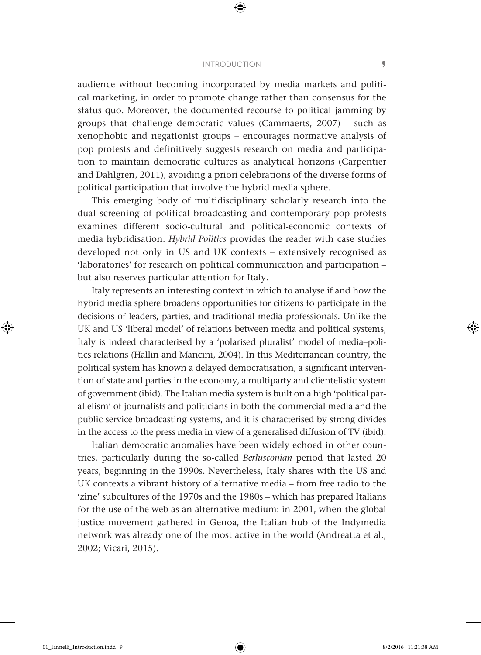⊕

audience without becoming incorporated by media markets and political marketing, in order to promote change rather than consensus for the status quo. Moreover, the documented recourse to political jamming by groups that challenge democratic values (Cammaerts, 2007) – such as xenophobic and negationist groups – encourages normative analysis of pop protests and definitively suggests research on media and participation to maintain democratic cultures as analytical horizons (Carpentier and Dahlgren, 2011), avoiding a priori celebrations of the diverse forms of political participation that involve the hybrid media sphere.

This emerging body of multidisciplinary scholarly research into the dual screening of political broadcasting and contemporary pop protests examines different socio-cultural and political-economic contexts of media hybridisation. *Hybrid Politics* provides the reader with case studies developed not only in US and UK contexts – extensively recognised as 'laboratories' for research on political communication and participation – but also reserves particular attention for Italy.

Italy represents an interesting context in which to analyse if and how the hybrid media sphere broadens opportunities for citizens to participate in the decisions of leaders, parties, and traditional media professionals. Unlike the UK and US 'liberal model' of relations between media and political systems, Italy is indeed characterised by a 'polarised pluralist' model of media–politics relations (Hallin and Mancini, 2004). In this Mediterranean country, the political system has known a delayed democratisation, a significant intervention of state and parties in the economy, a multiparty and clientelistic system of government (ibid). The Italian media system is built on a high 'political parallelism' of journalists and politicians in both the commercial media and the public service broadcasting systems, and it is characterised by strong divides in the access to the press media in view of a generalised diffusion of TV (ibid).

Italian democratic anomalies have been widely echoed in other countries, particularly during the so-called *Berlusconian* period that lasted 20 years, beginning in the 1990s. Nevertheless, Italy shares with the US and UK contexts a vibrant history of alternative media – from free radio to the 'zine' subcultures of the 1970s and the 1980s – which has prepared Italians for the use of the web as an alternative medium: in 2001, when the global justice movement gathered in Genoa, the Italian hub of the Indymedia network was already one of the most active in the world (Andreatta et al., 2002; Vicari, 2015).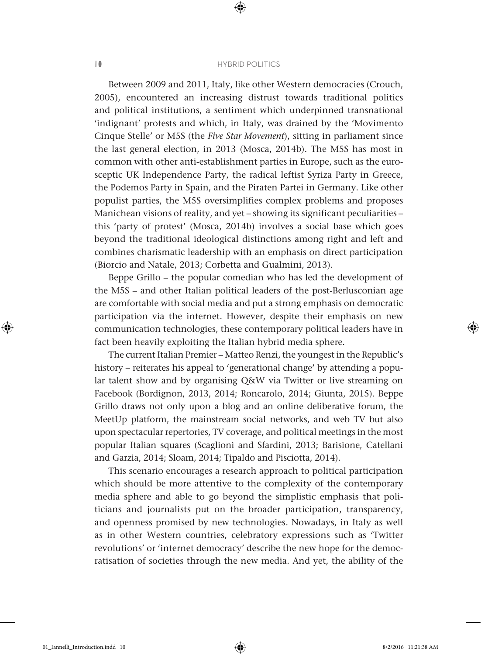⊕

Between 2009 and 2011, Italy, like other Western democracies (Crouch, 2005), encountered an increasing distrust towards traditional politics and political institutions, a sentiment which underpinned transnational 'indignant' protests and which, in Italy, was drained by the 'Movimento Cinque Stelle' or M5S (the *Five Star Movement*), sitting in parliament since the last general election, in 2013 (Mosca, 2014b). The M5S has most in common with other anti-establishment parties in Europe, such as the eurosceptic UK Independence Party, the radical leftist Syriza Party in Greece, the Podemos Party in Spain, and the Piraten Partei in Germany. Like other populist parties, the M5S oversimplifies complex problems and proposes Manichean visions of reality, and yet – showing its significant peculiarities – this 'party of protest' (Mosca, 2014b) involves a social base which goes beyond the traditional ideological distinctions among right and left and combines charismatic leadership with an emphasis on direct participation (Biorcio and Natale, 2013; Corbetta and Gualmini, 2013).

Beppe Grillo – the popular comedian who has led the development of the M5S – and other Italian political leaders of the post-Berlusconian age are comfortable with social media and put a strong emphasis on democratic participation via the internet. However, despite their emphasis on new communication technologies, these contemporary political leaders have in fact been heavily exploiting the Italian hybrid media sphere.

The current Italian Premier – Matteo Renzi, the youngest in the Republic's history – reiterates his appeal to 'generational change' by attending a popular talent show and by organising Q&W via Twitter or live streaming on Facebook (Bordignon, 2013, 2014; Roncarolo, 2014; Giunta, 2015). Beppe Grillo draws not only upon a blog and an online deliberative forum, the MeetUp platform, the mainstream social networks, and web TV but also upon spectacular repertories, TV coverage, and political meetings in the most popular Italian squares (Scaglioni and Sfardini, 2013; Barisione, Catellani and Garzia, 2014; Sloam, 2014; Tipaldo and Pisciotta, 2014).

This scenario encourages a research approach to political participation which should be more attentive to the complexity of the contemporary media sphere and able to go beyond the simplistic emphasis that politicians and journalists put on the broader participation, transparency, and openness promised by new technologies. Nowadays, in Italy as well as in other Western countries, celebratory expressions such as 'Twitter revolutions' or 'internet democracy' describe the new hope for the democratisation of societies through the new media. And yet, the ability of the

⊕